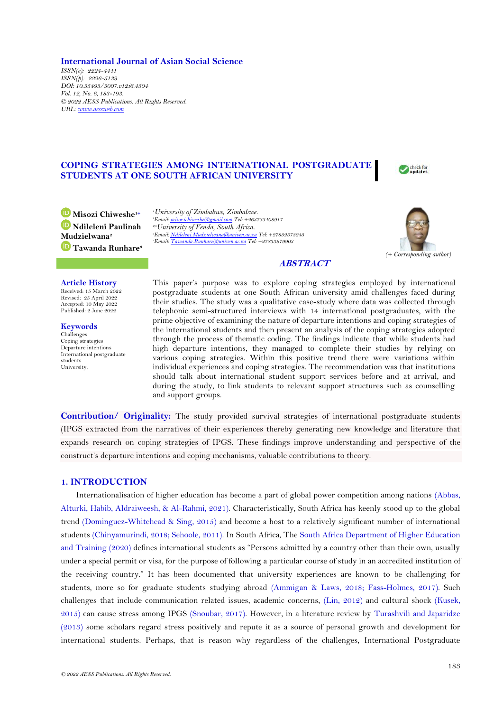## **International Journal of Asian Social Science**

*ISSN(e): 2224-4441 ISSN(p): 2226-5139 DOI: 10.55493/5007.v12i6.4504 Vol. 12, No. 6, 183-193. © 2022 AESS Publications. All Rights Reserved. URL[: www.aessweb.com](http://www.aessweb.com/)*

# **COPING STRATEGIES AMONG INTERNATIONAL POSTGRADUATE STUDENTS AT ONE SOUTH AFRICAN UNIVERSITY**



**Misozi Chiweshe1+ Ndileleni Paulinah Mudzielwana<sup>2</sup> Tawanda Runhare<sup>3</sup>** *University of Zimbabwe, Zimbabwe. Email[: misozichiweshe@gmail.com](mailto:misozichiweshe@gmail.com) Tel: +263733408917 2,3University of Venda, South Africa. Email[: Ndileleni.Mudzielwana@univen.ac.za](mailto:Ndileleni.Mudzielwana@univen.ac.za) Tel: +27832573243 Email[: Tawanda.Runhare@univen.ac.za](mailto:Tawanda.Runhare@univen.ac.za) Tel: +27833879903*



## **ABSTRACT**

#### **Article History**

Received: 15 March 2022 Revised: 25 April 2022 Accepted: 10 May 2022 Published: 2 June 2022

**Keywords** Challenges Coping strategies Departure intentions International postgraduate students University.

This paper's purpose was to explore coping strategies employed by international postgraduate students at one South African university amid challenges faced during their studies. The study was a qualitative case-study where data was collected through telephonic semi-structured interviews with 14 international postgraduates, with the prime objective of examining the nature of departure intentions and coping strategies of the international students and then present an analysis of the coping strategies adopted through the process of thematic coding. The findings indicate that while students had high departure intentions, they managed to complete their studies by relying on various coping strategies. Within this positive trend there were variations within individual experiences and coping strategies. The recommendation was that institutions should talk about international student support services before and at arrival, and during the study, to link students to relevant support structures such as counselling and support groups.

**Contribution/ Originality:** The study provided survival strategies of international postgraduate students (IPGS extracted from the narratives of their experiences thereby generating new knowledge and literature that expands research on coping strategies of IPGS. These findings improve understanding and perspective of the construct's departure intentions and coping mechanisms, valuable contributions to theory.

## **1. INTRODUCTION**

Internationalisation of higher education has become a part of global power competition among nations [\(Abbas,](#page-8-0) [Alturki, Habib, Aldraiweesh, & Al-Rahmi, 2021\)](#page-8-0). Characteristically, South Africa has keenly stood up to the global trend [\(Dominguez-Whitehead & Sing, 2015\)](#page-9-0) and become a host to a relatively significant number of international students [\(Chinyamurindi, 2018;](#page-9-1) [Sehoole,](#page-10-0) 2011). In South Africa, The [South Africa Department of Higher Education](#page-10-1)  [and Training \(2020\)](#page-10-1) defines international students as "Persons admitted by a country other than their own, usually under a special permit or visa, for the purpose of following a particular course of study in an accredited institution of the receiving country." It has been documented that university experiences are known to be challenging for students, more so for graduate students studying abroad [\(Ammigan & Laws, 2018;](#page-8-1) [Fass-Holmes, 2017\)](#page-9-2). Such challenges that include communication related issues, academic concerns, [\(Lin, 2012\)](#page-10-2) and cultural shock [\(Kusek,](#page-9-3)  [2015\)](#page-9-3) can cause stress among IPGS [\(Snoubar, 2017\)](#page-10-3). However, in a literature review by [Turashvili and Japaridze](#page-10-4)  [\(2013\)](#page-10-4) some scholars regard stress positively and repute it as a source of personal growth and development for international students. Perhaps, that is reason why regardless of the challenges, International Postgraduate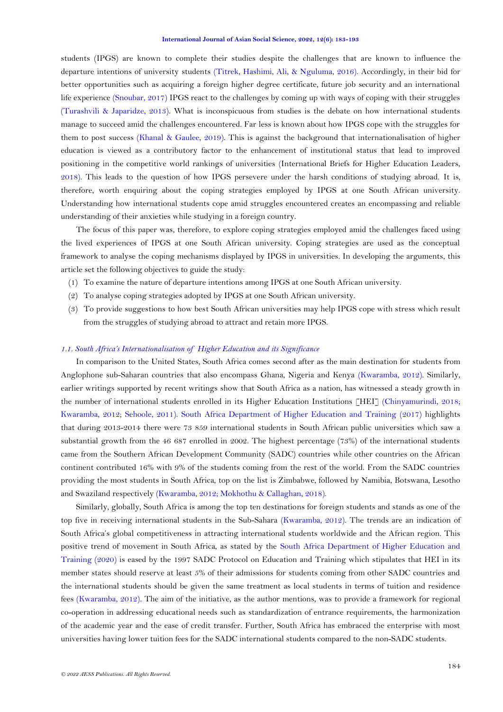students (IPGS) are known to complete their studies despite the challenges that are known to influence the departure intentions of university students [\(Titrek, Hashimi, Ali, & Nguluma, 2016\)](#page-10-5). Accordingly, in their bid for better opportunities such as acquiring a foreign higher degree certificate, future job security and an international life experience [\(Snoubar, 2017\)](#page-10-3) IPGS react to the challenges by coming up with ways of coping with their struggles [\(Turashvili & Japaridze, 2013\)](#page-10-4). What is inconspicuous from studies is the debate on how international students manage to succeed amid the challenges encountered. Far less is known about how IPGS cope with the struggles for them to post success [\(Khanal & Gaulee,](#page-9-4) 2019). This is against the background that internationalisation of higher education is viewed as a contributory factor to the enhancement of institutional status that lead to improved positioning in the competitive world rankings of universities (International [Briefs for Higher Education Leaders,](#page-9-5) [2018\)](#page-9-5). This leads to the question of how IPGS persevere under the harsh conditions of studying abroad. It is, therefore, worth enquiring about the coping strategies employed by IPGS at one South African university. Understanding how international students cope amid struggles encountered creates an encompassing and reliable understanding of their anxieties while studying in a foreign country.

The focus of this paper was, therefore, to explore coping strategies employed amid the challenges faced using the lived experiences of IPGS at one South African university. Coping strategies are used as the conceptual framework to analyse the coping mechanisms displayed by IPGS in universities. In developing the arguments, this article set the following objectives to guide the study:

- (1) To examine the nature of departure intentions among IPGS at one South African university.
- (2) To analyse coping strategies adopted by IPGS at one South African university.
- (3) To provide suggestions to how best South African universities may help IPGS cope with stress which result from the struggles of studying abroad to attract and retain more IPGS.

## *1.1. South Africa's Internationalisation of Higher Education and its Significance*

In comparison to the United States, South Africa comes second after as the main destination for students from Anglophone sub-Saharan countries that also encompass Ghana, Nigeria and Kenya [\(Kwaramba, 2012\)](#page-9-6). Similarly, earlier writings supported by recent writings show that South Africa as a nation, has witnessed a steady growth in the number of international students enrolled in its Higher Education Institutions [HEI] [\(Chinyamurindi, 2018;](#page-9-1) [Kwaramba, 2012;](#page-9-6) [Sehoole, 2011\)](#page-10-0). [South Africa Department of Higher Education and Training \(2017\)](#page-10-6) highlights that during 2013-2014 there were 73 859 international students in South African public universities which saw a substantial growth from the 46 687 enrolled in 2002. The highest percentage (73%) of the international students came from the Southern African Development Community (SADC) countries while other countries on the African continent contributed 16% with 9% of the students coming from the rest of the world. From the SADC countries providing the most students in South Africa, top on the list is Zimbabwe, followed by Namibia, Botswana, Lesotho and Swaziland respectively [\(Kwaramba, 2012;](#page-9-6) [Mokhothu & Callaghan, 2018\)](#page-10-7).

Similarly, globally, South Africa is among the top ten destinations for foreign students and stands as one of the top five in receiving international students in the Sub-Sahara [\(Kwaramba, 2012\)](#page-9-6). The trends are an indication of South Africa's global competitiveness in attracting international students worldwide and the African region. This positive trend of movement in South Africa, as stated by the [South Africa Department of Higher Education and](#page-10-1)  [Training \(2020\)](#page-10-1) is eased by the 1997 SADC Protocol on Education and Training which stipulates that HEI in its member states should reserve at least 5% of their admissions for students coming from other SADC countries and the international students should be given the same treatment as local students in terms of tuition and residence fees [\(Kwaramba, 2012\)](#page-9-6). The aim of the initiative, as the author mentions, was to provide a framework for regional co-operation in addressing educational needs such as standardization of entrance requirements, the harmonization of the academic year and the ease of credit transfer. Further, South Africa has embraced the enterprise with most universities having lower tuition fees for the SADC international students compared to the non-SADC students.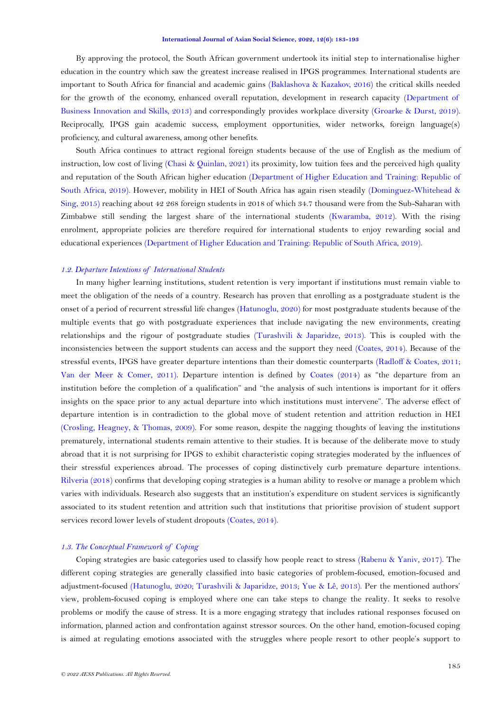By approving the protocol, the South African government undertook its initial step to internationalise higher education in the country which saw the greatest increase realised in IPGS programmes. International students are important to South Africa for financial and academic gains [\(Baklashova & Kazakov, 2016\)](#page-8-2) the critical skills needed for the growth of the economy, enhanced overall reputation, development in research capacity [\(Department of](#page-9-7)  [Business Innovation and Skills, 2013\)](#page-9-7) and correspondingly provides workplace diversity [\(Groarke & Durst, 2019\)](#page-9-8). Reciprocally, IPGS gain academic success, employment opportunities, wider networks, foreign language(s) proficiency, and cultural awareness, among other benefits.

South Africa continues to attract regional foreign students because of the use of English as the medium of instruction, low cost of living [\(Chasi & Quinlan,](#page-9-9) 2021) its proximity, low tuition fees and the perceived high quality and reputation of the South African higher education [\(Department of Higher Education](#page-9-10) and Training: Republic of [South Africa, 2019\)](#page-9-10). However, mobility in HEI of South Africa has again risen steadily [\(Dominguez-Whitehead &](#page-9-0)  [Sing, 2015\)](#page-9-0) reaching about 42 268 foreign students in 2018 of which 34.7 thousand were from the Sub-Saharan with Zimbabwe still sending the largest share of the international students [\(Kwaramba, 2012\)](#page-9-6). With the rising enrolment, appropriate policies are therefore required for international students to enjoy rewarding social and educational experiences [\(Department of Higher Education and Training: Republic of South Africa, 2019\)](#page-9-10).

### *1.2. Departure Intentions of International Students*

In many higher learning institutions, student retention is very important if institutions must remain viable to meet the obligation of the needs of a country. Research has proven that enrolling as a postgraduate student is the onset of a period of recurrent stressful life changes [\(Hatunoglu, 2020\)](#page-9-11) for most postgraduate students because of the multiple events that go with postgraduate experiences that include navigating the new environments, creating relationships and the rigour of postgraduate studies [\(Turashvili & Japaridze, 2013\)](#page-10-4). This is coupled with the inconsistencies between the support students can access and the support they need [\(Coates, 2014\)](#page-9-12). Because of the stressful events, IPGS have greater departure intentions than their domestic counterparts [\(Radloff & Coates, 2011;](#page-10-8) [Van der Meer & Comer, 2011\)](#page-10-9). Departure intention is defined by [Coates \(2014\)](#page-9-12) as "the departure from an institution before the completion of a qualification" and "the analysis of such intentions is important for it offers insights on the space prior to any actual departure into which institutions must intervene". The adverse effect of departure intention is in contradiction to the global move of student retention and attrition reduction in HEI [\(Crosling, Heagney, & Thomas, 2009\)](#page-9-13). For some reason, despite the nagging thoughts of leaving the institutions prematurely, international students remain attentive to their studies. It is because of the deliberate move to study abroad that it is not surprising for IPGS to exhibit characteristic coping strategies moderated by the influences of their stressful experiences abroad. The processes of coping distinctively curb premature departure intentions. [Rilveria \(2018\)](#page-10-10) confirms that developing coping strategies is a human ability to resolve or manage a problem which varies with individuals. Research also suggests that an institution's expenditure on student services is significantly associated to its student retention and attrition such that institutions that prioritise provision of student support services record lower levels of student dropouts [\(Coates, 2014\)](#page-9-12).

## *1.3. The Conceptual Framework of Coping*

Coping strategies are basic categories used to classify how people react to stress [\(Rabenu & Yaniv, 2017\)](#page-10-11). The different coping strategies are generally classified into basic categories of problem-focused, emotion-focused and adjustment-focused [\(Hatunoglu, 2020;](#page-9-11) [Turashvili & Japaridze, 2013;](#page-10-4) [Yue & Lê, 2013\)](#page-10-12). Per the mentioned authors' view, problem-focused coping is employed where one can take steps to change the reality. It seeks to resolve problems or modify the cause of stress. It is a more engaging strategy that includes rational responses focused on information, planned action and confrontation against stressor sources. On the other hand, emotion-focused coping is aimed at regulating emotions associated with the struggles where people resort to other people's support to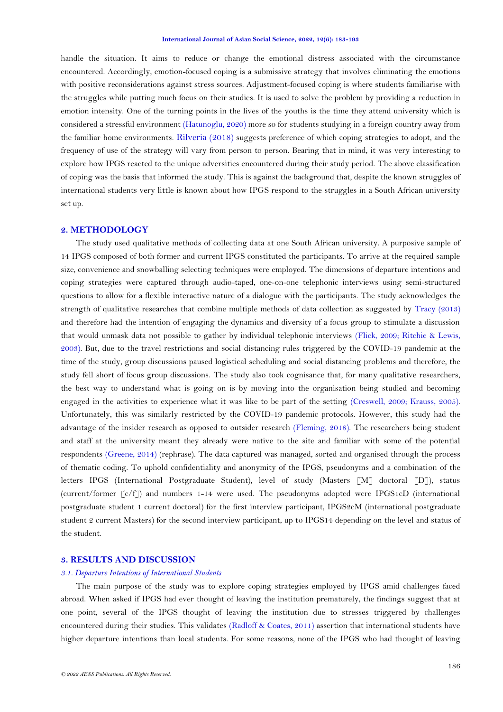handle the situation. It aims to reduce or change the emotional distress associated with the circumstance encountered. Accordingly, emotion-focused coping is a submissive strategy that involves eliminating the emotions with positive reconsiderations against stress sources. Adjustment-focused coping is where students familiarise with the struggles while putting much focus on their studies. It is used to solve the problem by providing a reduction in emotion intensity. One of the turning points in the lives of the youths is the time they attend university which is considered a stressful environment [\(Hatunoglu, 2020\)](#page-9-11) more so for students studying in a foreign country away from the familiar home environments. [Rilveria \(2018\)](#page-10-10) suggests preference of which coping strategies to adopt, and the frequency of use of the strategy will vary from person to person. Bearing that in mind, it was very interesting to explore how IPGS reacted to the unique adversities encountered during their study period. The above classification of coping was the basis that informed the study. This is against the background that, despite the known struggles of international students very little is known about how IPGS respond to the struggles in a South African university set up.

# **2. METHODOLOGY**

The study used qualitative methods of collecting data at one South African university. A purposive sample of 14 IPGS composed of both former and current IPGS constituted the participants. To arrive at the required sample size, convenience and snowballing selecting techniques were employed. The dimensions of departure intentions and coping strategies were captured through audio-taped, one-on-one telephonic interviews using semi-structured questions to allow for a flexible interactive nature of a dialogue with the participants. The study acknowledges the strength of qualitative researches that combine multiple methods of data collection as suggested by [Tracy \(2013\)](#page-10-13) and therefore had the intention of engaging the dynamics and diversity of a focus group to stimulate a discussion that would unmask data not possible to gather by individual telephonic interviews [\(Flick, 2009;](#page-9-14) [Ritchie & Lewis,](#page-10-14)  [2003\)](#page-10-14). But, due to the travel restrictions and social distancing rules triggered by the COVID-19 pandemic at the time of the study, group discussions paused logistical scheduling and social distancing problems and therefore, the study fell short of focus group discussions. The study also took cognisance that, for many qualitative researchers, the best way to understand what is going on is by moving into the organisation being studied and becoming engaged in the activities to experience what it was like to be part of the setting [\(Creswell, 2009;](#page-9-15) [Krauss, 2005\)](#page-9-16). Unfortunately, this was similarly restricted by the COVID-19 pandemic protocols. However, this study had the advantage of the insider research as opposed to outsider research [\(Fleming, 2018\)](#page-9-17). The researchers being student and staff at the university meant they already were native to the site and familiar with some of the potential respondents [\(Greene, 2014\)](#page-9-18) (rephrase). The data captured was managed, sorted and organised through the process of thematic coding. To uphold confidentiality and anonymity of the IPGS, pseudonyms and a combination of the letters IPGS (International Postgraduate Student), level of study (Masters [M] doctoral [D]), status (current/former [c/f]) and numbers 1-14 were used. The pseudonyms adopted were IPGS1cD (international postgraduate student 1 current doctoral) for the first interview participant, IPGS2cM (international postgraduate student 2 current Masters) for the second interview participant, up to IPGS14 depending on the level and status of the student.

## **3. RESULTS AND DISCUSSION**

## *3.1. Departure Intentions of International Students*

The main purpose of the study was to explore coping strategies employed by IPGS amid challenges faced abroad. When asked if IPGS had ever thought of leaving the institution prematurely, the findings suggest that at one point, several of the IPGS thought of leaving the institution due to stresses triggered by challenges encountered during their studies. This validates [\(Radloff & Coates, 2011\)](#page-10-8) assertion that international students have higher departure intentions than local students. For some reasons, none of the IPGS who had thought of leaving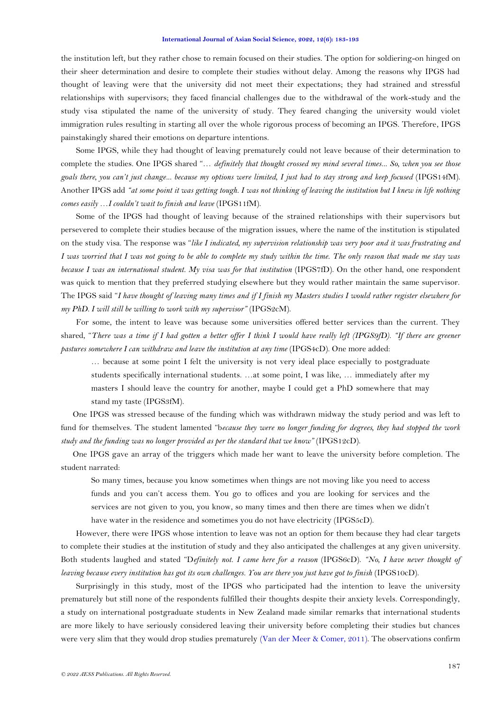the institution left, but they rather chose to remain focused on their studies. The option for soldiering-on hinged on their sheer determination and desire to complete their studies without delay. Among the reasons why IPGS had thought of leaving were that the university did not meet their expectations; they had strained and stressful relationships with supervisors; they faced financial challenges due to the withdrawal of the work-study and the study visa stipulated the name of the university of study. They feared changing the university would violet immigration rules resulting in starting all over the whole rigorous process of becoming an IPGS. Therefore, IPGS painstakingly shared their emotions on departure intentions.

Some IPGS, while they had thought of leaving prematurely could not leave because of their determination to complete the studies. One IPGS shared "… *definitely that thought crossed my mind several times... So, when you see those goals there, you can't just change... because my options were limited, I just had to stay strong and keep focused* (IPGS14fM). Another IPGS add *"at some point it was getting tough. I was not thinking of leaving the institution but I knew in life nothing comes easily …I couldn't wait to finish and leave* (IPGS11fM).

Some of the IPGS had thought of leaving because of the strained relationships with their supervisors but persevered to complete their studies because of the migration issues, where the name of the institution is stipulated on the study visa. The response was "*like I indicated, my supervision relationship was very poor and it was frustrating and I was worried that I was not going to be able to complete my study within the time. The only reason that made me stay was because I was an international student. My visa was for that institution* (IPGS7fD). On the other hand, one respondent was quick to mention that they preferred studying elsewhere but they would rather maintain the same supervisor. The IPGS said "*I have thought of leaving many times and if I finish my Masters studies I would rather register elsewhere for my PhD. I will still be willing to work with my supervisor"* (IPGS2cM).

For some, the intent to leave was because some universities offered better services than the current. They shared, "*There was a time if I had gotten a better offer I think I would have really left (IPGS9fD). "If there are greener pastures somewhere I can withdraw and leave the institution at any time* (IPGS4cD). One more added:

… because at some point I felt the university is not very ideal place especially to postgraduate students specifically international students. …at some point, I was like, … immediately after my masters I should leave the country for another, maybe I could get a PhD somewhere that may stand my taste (IPGS3fM).

One IPGS was stressed because of the funding which was withdrawn midway the study period and was left to fund for themselves. The student lamented "b*ecause they were no longer funding for degrees, they had stopped the work study and the funding was no longer provided as per the standard that we know"* (IPGS12cD).

One IPGS gave an array of the triggers which made her want to leave the university before completion. The student narrated:

So many times, because you know sometimes when things are not moving like you need to access funds and you can't access them. You go to offices and you are looking for services and the services are not given to you, you know, so many times and then there are times when we didn't have water in the residence and sometimes you do not have electricity (IPGS5cD).

However, there were IPGS whose intention to leave was not an option for them because they had clear targets to complete their studies at the institution of study and they also anticipated the challenges at any given university. Both students laughed and stated "D*efinitely not. I came here for a reason* (IPGS6cD). *"No, I have never thought of leaving because every institution has got its own challenges. You are there you just have got to finish* (IPGS10cD).

Surprisingly in this study, most of the IPGS who participated had the intention to leave the university prematurely but still none of the respondents fulfilled their thoughts despite their anxiety levels. Correspondingly, a study on international postgraduate students in New Zealand made similar remarks that international students are more likely to have seriously considered leaving their university before completing their studies but chances were very slim that they would drop studies prematurely [\(Van der Meer & Comer, 2011\)](#page-10-9). The observations confirm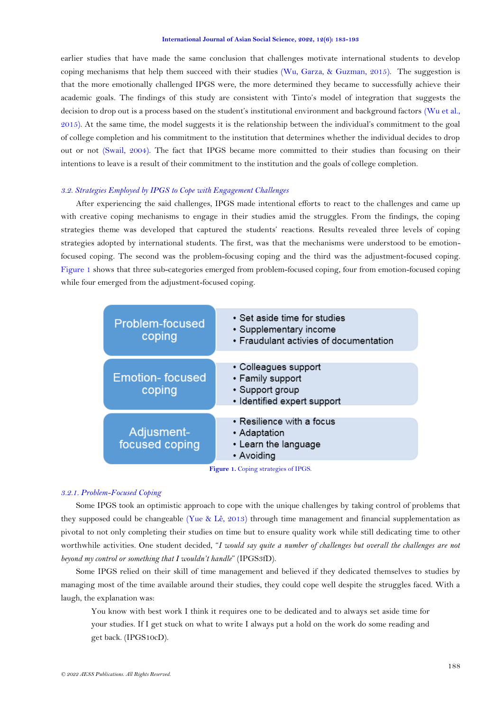earlier studies that have made the same conclusion that challenges motivate international students to develop coping mechanisms that help them succeed with their studies [\(Wu, Garza, & Guzman, 2015\)](#page-10-15). The suggestion is that the more emotionally challenged IPGS were, the more determined they became to successfully achieve their academic goals. The findings of this study are consistent with Tinto's model of integration that suggests the decision to drop out is a process based on the student's institutional environment and background factors (Wu et al., [2015\)](#page-10-15). At the same time, the model suggests it is the relationship between the individual's commitment to the goal of college completion and his commitment to the institution that determines whether the individual decides to drop out or not [\(Swail, 2004\)](#page-10-16). The fact that IPGS became more committed to their studies than focusing on their intentions to leave is a result of their commitment to the institution and the goals of college completion.

# *3.2. Strategies Employed by IPGS to Cope with Engagement Challenges*

After experiencing the said challenges, IPGS made intentional efforts to react to the challenges and came up with creative coping mechanisms to engage in their studies amid the struggles. From the findings, the coping strategies theme was developed that captured the students' reactions. Results revealed three levels of coping strategies adopted by international students. The first, was that the mechanisms were understood to be emotionfocused coping. The second was the problem-focusing coping and the third was the adjustment-focused coping. [Figure 1](#page-5-0) shows that three sub-categories emerged from problem-focused coping, four from emotion-focused coping while four emerged from the adjustment-focused coping.



**Figure 1.** Coping strategies of IPGS.

### <span id="page-5-0"></span>*3.2.1. Problem-Focused Coping*

Some IPGS took an optimistic approach to cope with the unique challenges by taking control of problems that they supposed could be changeable [\(Yue & Lê, 2013\)](#page-10-12) through time management and financial supplementation as pivotal to not only completing their studies on time but to ensure quality work while still dedicating time to other worthwhile activities. One student decided, "*I would say quite a number of challenges but overall the challenges are not beyond my control or something that I wouldn't handle*" (IPGS3fD).

Some IPGS relied on their skill of time management and believed if they dedicated themselves to studies by managing most of the time available around their studies, they could cope well despite the struggles faced. With a laugh, the explanation was:

You know with best work I think it requires one to be dedicated and to always set aside time for your studies. If I get stuck on what to write I always put a hold on the work do some reading and get back. (IPGS10cD).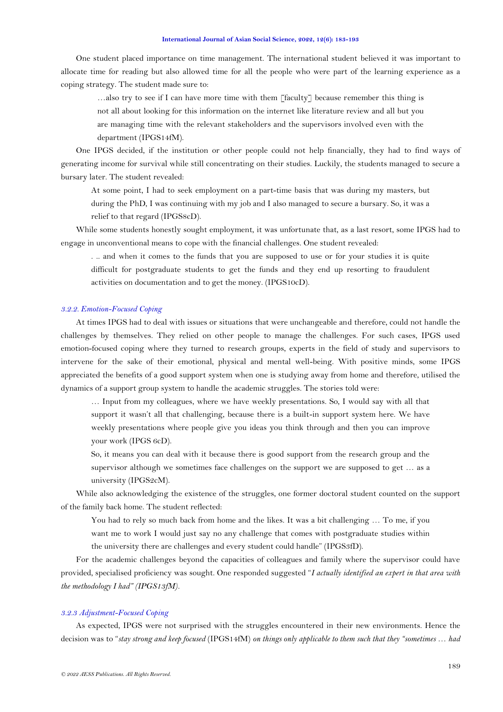One student placed importance on time management. The international student believed it was important to allocate time for reading but also allowed time for all the people who were part of the learning experience as a coping strategy. The student made sure to:

…also try to see if I can have more time with them [faculty] because remember this thing is not all about looking for this information on the internet like literature review and all but you are managing time with the relevant stakeholders and the supervisors involved even with the department (IPGS14fM).

One IPGS decided, if the institution or other people could not help financially, they had to find ways of generating income for survival while still concentrating on their studies. Luckily, the students managed to secure a bursary later. The student revealed:

At some point, I had to seek employment on a part-time basis that was during my masters, but during the PhD, I was continuing with my job and I also managed to secure a bursary. So, it was a relief to that regard (IPGS8cD).

While some students honestly sought employment, it was unfortunate that, as a last resort, some IPGS had to engage in unconventional means to cope with the financial challenges. One student revealed:

. .. and when it comes to the funds that you are supposed to use or for your studies it is quite difficult for postgraduate students to get the funds and they end up resorting to fraudulent activities on documentation and to get the money. (IPGS10cD).

## *3.2.2. Emotion-Focused Coping*

At times IPGS had to deal with issues or situations that were unchangeable and therefore, could not handle the challenges by themselves. They relied on other people to manage the challenges. For such cases, IPGS used emotion-focused coping where they turned to research groups, experts in the field of study and supervisors to intervene for the sake of their emotional, physical and mental well-being. With positive minds, some IPGS appreciated the benefits of a good support system when one is studying away from home and therefore, utilised the dynamics of a support group system to handle the academic struggles. The stories told were:

… Input from my colleagues, where we have weekly presentations. So, I would say with all that support it wasn't all that challenging, because there is a built-in support system here. We have weekly presentations where people give you ideas you think through and then you can improve your work (IPGS 6cD).

So, it means you can deal with it because there is good support from the research group and the supervisor although we sometimes face challenges on the support we are supposed to get … as a university (IPGS2cM).

While also acknowledging the existence of the struggles, one former doctoral student counted on the support of the family back home. The student reflected:

You had to rely so much back from home and the likes. It was a bit challenging ... To me, if you want me to work I would just say no any challenge that comes with postgraduate studies within the university there are challenges and every student could handle" (IPGS3fD).

For the academic challenges beyond the capacities of colleagues and family where the supervisor could have provided, specialised proficiency was sought. One responded suggested "*I actually identified an expert in that area with the methodology I had" (IPGS13fM).*

## *3.2.3 Adjustment-Focused Coping*

As expected, IPGS were not surprised with the struggles encountered in their new environments. Hence the decision was to "*stay strong and keep focused* (IPGS14fM) *on things only applicable to them such that they "sometimes … had*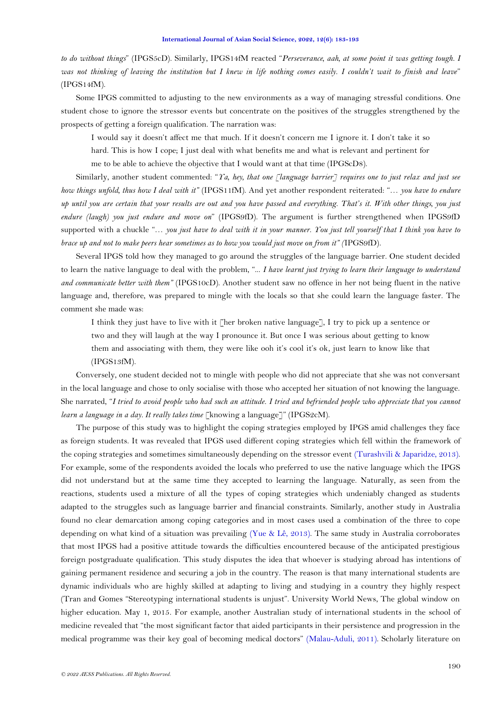*to do without things*" (IPGS5cD). Similarly, IPGS14fM reacted "*Perseverance, aah, at some point it was getting tough. I was not thinking of leaving the institution but I knew in life nothing comes easily. I couldn't wait to finish and leave*" (IPGS14fM).

Some IPGS committed to adjusting to the new environments as a way of managing stressful conditions. One student chose to ignore the stressor events but concentrate on the positives of the struggles strengthened by the prospects of getting a foreign qualification. The narration was:

I would say it doesn't affect me that much. If it doesn't concern me I ignore it. I don't take it so

hard. This is how I cope; I just deal with what benefits me and what is relevant and pertinent for me to be able to achieve the objective that I would want at that time (IPGScD8).

Similarly, another student commented: "*Ya, hey, that one [language barrier] requires one to just relax and just see how things unfold, thus how I deal with it"* (IPGS11fM). And yet another respondent reiterated: "… *you have to endure up until you are certain that your results are out and you have passed and everything. That's it. With other things, you just endure (laugh) you just endure and move on*" (IPGS9fD). The argument is further strengthened when IPGS9fD supported with a chuckle "… *you just have to deal with it in your manner. You just tell yourself that I think you have to brace up and not to make peers hear sometimes as to how you would just move on from it" (*IPGS9fD)*.*

Several IPGS told how they managed to go around the struggles of the language barrier. One student decided to learn the native language to deal with the problem, "... *I have learnt just trying to learn their language to understand and communicate better with them"* (IPGS10cD). Another student saw no offence in her not being fluent in the native language and, therefore, was prepared to mingle with the locals so that she could learn the language faster. The comment she made was:

I think they just have to live with it [her broken native language], I try to pick up a sentence or two and they will laugh at the way I pronounce it. But once I was serious about getting to know them and associating with them, they were like ooh it's cool it's ok, just learn to know like that (IPGS13fM).

Conversely, one student decided not to mingle with people who did not appreciate that she was not conversant in the local language and chose to only socialise with those who accepted her situation of not knowing the language. She narrated, "*I tried to avoid people who had such an attitude. I tried and befriended people who appreciate that you cannot learn a language in a day. It really takes time* [knowing a language]" (IPGS2cM).

The purpose of this study was to highlight the coping strategies employed by IPGS amid challenges they face as foreign students. It was revealed that IPGS used different coping strategies which fell within the framework of the coping strategies and sometimes simultaneously depending on the stressor event [\(Turashvili & Japaridze, 2013\)](#page-10-4). For example, some of the respondents avoided the locals who preferred to use the native language which the IPGS did not understand but at the same time they accepted to learning the language. Naturally, as seen from the reactions, students used a mixture of all the types of coping strategies which undeniably changed as students adapted to the struggles such as language barrier and financial constraints. Similarly, another study in Australia found no clear demarcation among coping categories and in most cases used a combination of the three to cope depending on what kind of a situation was prevailing [\(Yue & Lê,](#page-10-12) 2013). The same study in Australia corroborates that most IPGS had a positive attitude towards the difficulties encountered because of the anticipated prestigious foreign postgraduate qualification. This study disputes the idea that whoever is studying abroad has intentions of gaining permanent residence and securing a job in the country. The reason is that many international students are dynamic individuals who are highly skilled at adapting to living and studying in a country they highly respect (Tran and Gomes "Stereotyping international students is unjust". University World News, The global window on higher education. May 1, 2015. For example, another Australian study of international students in the school of medicine revealed that "the most significant factor that aided participants in their persistence and progression in the medical programme was their key goal of becoming medical doctors" [\(Malau-Aduli, 2011\)](#page-10-17). Scholarly literature on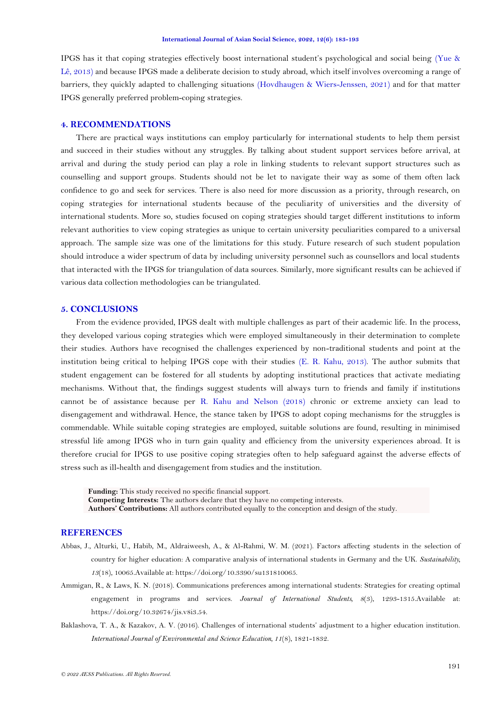IPGS has it that coping strategies effectively boost international student's psychological and social being [\(Yue &](#page-10-12)  [Lê, 2013\)](#page-10-12) and because IPGS made a deliberate decision to study abroad, which itself involves overcoming a range of barriers, they quickly adapted to challenging situations [\(Hovdhaugen & Wiers-Jenssen, 2021\)](#page-9-19) and for that matter IPGS generally preferred problem-coping strategies.

# **4. RECOMMENDATIONS**

There are practical ways institutions can employ particularly for international students to help them persist and succeed in their studies without any struggles. By talking about student support services before arrival, at arrival and during the study period can play a role in linking students to relevant support structures such as counselling and support groups. Students should not be let to navigate their way as some of them often lack confidence to go and seek for services. There is also need for more discussion as a priority, through research, on coping strategies for international students because of the peculiarity of universities and the diversity of international students. More so, studies focused on coping strategies should target different institutions to inform relevant authorities to view coping strategies as unique to certain university peculiarities compared to a universal approach. The sample size was one of the limitations for this study. Future research of such student population should introduce a wider spectrum of data by including university personnel such as counsellors and local students that interacted with the IPGS for triangulation of data sources. Similarly, more significant results can be achieved if various data collection methodologies can be triangulated.

## **5. CONCLUSIONS**

From the evidence provided, IPGS dealt with multiple challenges as part of their academic life. In the process, they developed various coping strategies which were employed simultaneously in their determination to complete their studies. Authors have recognised the challenges experienced by non-traditional students and point at the institution being critical to helping IPGS cope with their studies [\(E. R. Kahu, 2013\)](#page-9-20). The author submits that student engagement can be fostered for all students by adopting institutional practices that activate mediating mechanisms. Without that, the findings suggest students will always turn to friends and family if institutions cannot be of assistance because per [R. Kahu and Nelson \(2018\)](#page-9-21) chronic or extreme anxiety can lead to disengagement and withdrawal. Hence, the stance taken by IPGS to adopt coping mechanisms for the struggles is commendable. While suitable coping strategies are employed, suitable solutions are found, resulting in minimised stressful life among IPGS who in turn gain quality and efficiency from the university experiences abroad. It is therefore crucial for IPGS to use positive coping strategies often to help safeguard against the adverse effects of stress such as ill-health and disengagement from studies and the institution.

**Funding:** This study received no specific financial support. **Competing Interests:** The authors declare that they have no competing interests. **Authors' Contributions:** All authors contributed equally to the conception and design of the study.

## **REFERENCES**

- <span id="page-8-0"></span>Abbas, J., Alturki, U., Habib, M., Aldraiweesh, A., & Al-Rahmi, W. M. (2021). Factors affecting students in the selection of country for higher education: A comparative analysis of international students in Germany and the UK. *Sustainability, 13*(18), 10065.Available at: https://doi.org/10.3390/su131810065.
- <span id="page-8-1"></span>Ammigan, R., & Laws, K. N. (2018). Communications preferences among international students: Strategies for creating optimal engagement in programs and services. *Journal of International Students, 8*(3), 1293-1315.Available at: https://doi.org/10.32674/jis.v8i3.54.
- <span id="page-8-2"></span>Baklashova, T. A., & Kazakov, A. V. (2016). Challenges of international students' adjustment to a higher education institution. *International Journal of Environmental and Science Education, 11*(8), 1821-1832.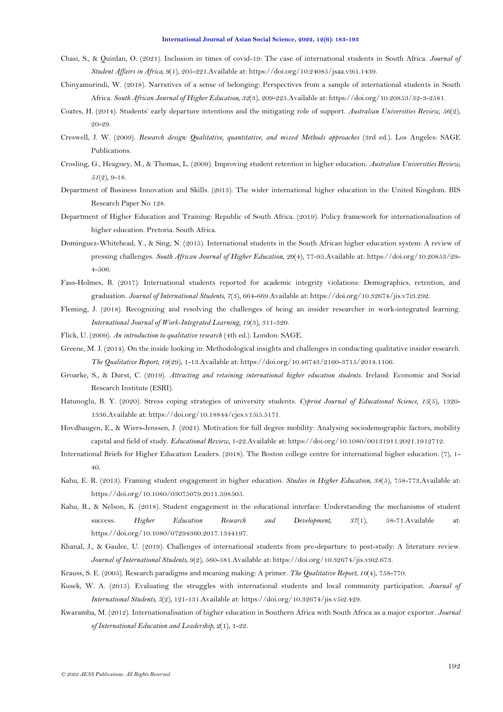- <span id="page-9-9"></span>Chasi, S., & Quinlan, O. (2021). Inclusion in times of covid-19: The case of international students in South Africa. *Journal of Student Affairs in Africa, 9*(1), 205-221.Available at: https://doi.org/10.24085/jsaa.v9i1.1439.
- <span id="page-9-1"></span>Chinyamurindi, W. (2018). Narratives of a sense of belonging: Perspectives from a sample of international students in South Africa. *South African Journal of Higher Education, 32*(3), 209-225.Available at: https://doi.org/10.20853/32-3-2581.
- <span id="page-9-12"></span>Coates, H. (2014). Students' early departure intentions and the mitigating role of support. *Australian Universities Review, 56*(2), 20-29.
- <span id="page-9-15"></span>Creswell, J. W. (2009). *Research design: Qualitative, quantitative, and mixed Methods approaches* (3rd ed.). Los Angeles: SAGE Publications.
- <span id="page-9-13"></span>Crosling, G., Heagney, M., & Thomas, L. (2009). Improving student retention in higher education. *Australian Universities Review, 51*(2), 9-18.
- <span id="page-9-7"></span>Department of Business Innovation and Skills. (2013). The wider international higher education in the United Kingdom. BIS Research Paper No 128.
- <span id="page-9-10"></span>Department of Higher Education and Training: Republic of South Africa. (2019). Policy framework for internationalisation of higher education. Pretoria. South Africa.
- <span id="page-9-0"></span>Dominguez-Whitehead, Y., & Sing, N. (2015). International students in the South African higher education system: A review of pressing challenges. *South African Journal of Higher Education, 29*(4), 77-95.Available at: https://doi.org/10.20853/29- 4-506.
- <span id="page-9-2"></span>Fass-Holmes, B. (2017). International students reported for academic integrity violations: Demographics, retention, and graduation. *Journal of International Students, 7*(3), 664-669.Available at: https://doi.org/10.32674/jis.v7i3.292.
- <span id="page-9-17"></span>Fleming, J. (2018). Recognizing and resolving the challenges of being an insider researcher in work-integrated learning. *International Journal of Work-Integrated Learning, 19*(3), 311-320.
- <span id="page-9-14"></span>Flick, U. (2009). *An introduction to qualitative research* (4th ed.). London: SAGE.
- <span id="page-9-18"></span>Greene, M. J. (2014). On the inside looking in: Methodological insights and challenges in conducting qualitative insider research. *The Qualitative Report, 19*(29), 1-13.Available at: https://doi.org/10.46743/2160-3715/2014.1106.
- <span id="page-9-8"></span>Groarke, S., & Durst, C. (2019). *Attracting and retaining international higher education students*. Ireland: Economic and Social Research Institute (ESRI).
- <span id="page-9-11"></span>Hatunoglu, B. Y. (2020). Stress coping strategies of university students. *Cypriot Journal of Educational Science, 15*(5), 1320- 1336.Available at: https://doi.org/10.18844/cjes.v15i5.5171.
- <span id="page-9-19"></span>Hovdhaugen, E., & Wiers-Jenssen, J. (2021). Motivation for full degree mobility: Analysing sociodemographic factors, mobility capital and field of study. *Educational Review*, 1-22.Available at: https://doi.org/10.1080/00131911.2021.1912712.
- <span id="page-9-5"></span>International Briefs for Higher Education Leaders. (2018). The Boston college centre for international higher education. (7), 1- 40.
- <span id="page-9-20"></span>Kahu, E. R. (2013). Framing student engagement in higher education. *Studies in Higher Education, 38*(5), 758-773.Available at: https://doi.org/10.1080/03075079.2011.598505.
- <span id="page-9-21"></span>Kahu, R., & Nelson, K. (2018). Student engagement in the educational interface: Understanding the mechanisms of student success. *Higher Education Research and Development, 37*(1), 58-71.Available at: https://doi.org/10.1080/07294360.2017.1344197.
- <span id="page-9-4"></span>Khanal, J., & Gaulee, U. (2019). Challenges of international students from pre-departure to post-study: A literature review. *Journal of International Students, 9*(2), 560-581.Available at: https://doi.org/10.32674/jis.v9i2.673.
- <span id="page-9-16"></span>Krauss, S. E. (2005). Research paradigms and meaning making: A primer. *The Qualitative Report, 10*(4), 758-770.
- <span id="page-9-3"></span>Kusek, W. A. (2015). Evaluating the struggles with international students and local community participation. *Journal of International Students, 5*(2), 121-131.Available at: https://doi.org/10.32674/jis.v5i2.429.
- <span id="page-9-6"></span>Kwaramba, M. (2012). Internationalisation of higher education in Southern Africa with South Africa as a major exporter. *Journal of International Education and Leadership, 2*(1), 1-22.